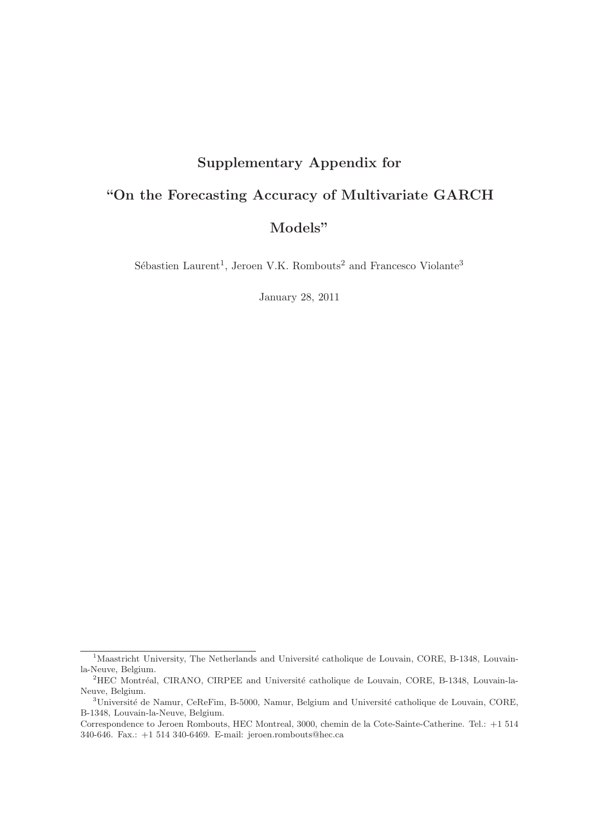## Supplementary Appendix for "On the Forecasting Accuracy of Multivariate GARCH Models"

Sébastien Laurent<sup>1</sup>, Jeroen V.K. Rombouts<sup>2</sup> and Francesco Violante<sup>3</sup>

January 28, 2011

<sup>&</sup>lt;sup>1</sup>Maastricht University, The Netherlands and Université catholique de Louvain, CORE, B-1348, Louvainla-Neuve, Belgium.

<sup>&</sup>lt;sup>2</sup>HEC Montréal, CIRANO, CIRPEE and Université catholique de Louvain, CORE, B-1348, Louvain-la-Neuve, Belgium.

 $3$ Université de Namur, CeReFim, B-5000, Namur, Belgium and Université catholique de Louvain, CORE, B-1348, Louvain-la-Neuve, Belgium.

Correspondence to Jeroen Rombouts, HEC Montreal, 3000, chemin de la Cote-Sainte-Catherine. Tel.: +1 514 340-646. Fax.: +1 514 340-6469. E-mail: jeroen.rombouts@hec.ca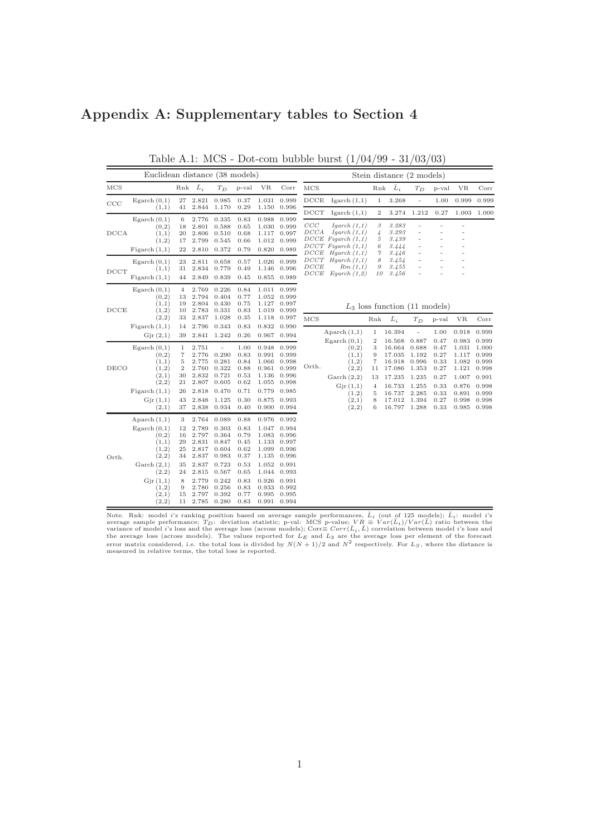## Appendix A: Supplementary tables to Section 4

|                  | Euclidean distance (38 models)                                                                                                                      |                                                                   |                                                                                                          |                                                                                                          |                                                                                              |                                                                                                 |                                                                                                                |                                                             | Stein distance (2 models)                                                                                              |                                                   |                                                                    |                                                             |                                                      |                                                             |                                                             |
|------------------|-----------------------------------------------------------------------------------------------------------------------------------------------------|-------------------------------------------------------------------|----------------------------------------------------------------------------------------------------------|----------------------------------------------------------------------------------------------------------|----------------------------------------------------------------------------------------------|-------------------------------------------------------------------------------------------------|----------------------------------------------------------------------------------------------------------------|-------------------------------------------------------------|------------------------------------------------------------------------------------------------------------------------|---------------------------------------------------|--------------------------------------------------------------------|-------------------------------------------------------------|------------------------------------------------------|-------------------------------------------------------------|-------------------------------------------------------------|
| $_{\rm MCS}$     |                                                                                                                                                     | Rnk                                                               | $\bar{L}_i$                                                                                              | $T_D$                                                                                                    | p-val                                                                                        | <b>VR</b>                                                                                       | Corr                                                                                                           | MCS                                                         |                                                                                                                        | Rnk                                               | $\bar{L}_i$                                                        | $T_D$                                                       | p-val                                                | <b>VR</b>                                                   | Corr                                                        |
| CCC              | Egarch $(0,1)$<br>(1,1)                                                                                                                             | 27<br>41                                                          | 2.821<br>2.844                                                                                           | 0.985<br>1.170                                                                                           | 0.37<br>0.29                                                                                 | 1.031<br>1.150                                                                                  | 0.999<br>0.996                                                                                                 | DCCE                                                        | Igarch $(1,1)$                                                                                                         | 1                                                 | 3.268                                                              | ÷,                                                          | 1.00                                                 | 0.999                                                       | 0.999                                                       |
| DCCA             | Egarch $(0,1)$<br>(0,2)<br>(1,1)<br>(1,2)<br>Figureh(1,1)                                                                                           | 6<br>18<br>20<br>17<br>22                                         | 2.776<br>2.801<br>2.806<br>2.799<br>2.810                                                                | 0.335<br>0.588<br>0.510<br>0.545<br>0.372                                                                | 0.83<br>0.65<br>0.68<br>0.66<br>0.79                                                         | 0.988<br>1.030<br>1.117<br>1.012<br>0.820                                                       | 0.999<br>0.999<br>0.997<br>0.999<br>0.989                                                                      | $_{\mathrm{DCT}}$<br>$_{CCC}$<br>DCCA<br>$_{DCCE}$          | Igarch $(1,1)$<br>Igarch $(1,1)$<br>Igarch $(1,1)$<br>$DCCE$ Figarch $(1,1)$<br>$DCCT$ Figarch $(1,1)$<br>Hgarch (1,1) | 2<br>3<br>$\overline{4}$<br>5<br>6<br>7           | 3.274<br>3.283<br>3.293<br>3.439<br>3.444<br>3.446                 | 1.212                                                       | 0.27                                                 | 1.003                                                       | 1.000                                                       |
| D <sub>CCT</sub> | Egarch $(0,1)$<br>(1,1)<br>Figureh(1,1)                                                                                                             | 23<br>31<br>44                                                    | 2.811<br>2.834<br>2.849                                                                                  | 0.658<br>0.779<br>0.839                                                                                  | 0.57<br>0.49<br>0.45                                                                         | 1.026<br>1.146<br>0.855                                                                         | 0.999<br>0.996<br>0.989                                                                                        | $_{DCCT}$<br>$_{DCCE}$<br>$\cal{D} \cal{C} \cal{C} \cal{E}$ | Hgarch (1,1)<br>Rm(1,1)<br>Egarch (1,2)                                                                                | 8<br>9<br>10                                      | 3.454<br>3.455<br>3.456                                            |                                                             |                                                      |                                                             |                                                             |
| DCCE             | Egarch $(0,1)$<br>(0,2)<br>(1,1)<br>(1,2)                                                                                                           | 4<br>13<br>19<br>10                                               | 2.769<br>2.794<br>2.804<br>2.783                                                                         | 0.226<br>0.404<br>0.430<br>0.331                                                                         | 0.84<br>0.77<br>0.75<br>0.83                                                                 | 1.011<br>1.052<br>1.127<br>1.019                                                                | 0.999<br>0.999<br>0.997<br>0.999                                                                               |                                                             |                                                                                                                        |                                                   | $L_3$ loss function (11 models)                                    |                                                             |                                                      |                                                             |                                                             |
|                  | (2,2)<br>Figureh(1,1)<br>Gjr(2,1)                                                                                                                   | 33<br>14<br>39                                                    | 2.837<br>2.796                                                                                           | 1.028<br>0.343<br>2.841 1.242                                                                            | 0.35<br>0.83<br>0.26                                                                         | 0.832                                                                                           | 1.118 0.997<br>0.990<br>0.967 0.994                                                                            | MCS                                                         | Aparch $(1,1)$<br>Egarch $(0,1)$                                                                                       | Rnk<br>1<br>$\boldsymbol{2}$                      | $\bar{L}_i$<br>16.394<br>16.568                                    | $T_D$<br>÷,<br>0.887                                        | p-val<br>1.00<br>0.47                                | <b>VR</b><br>0.918<br>0.983                                 | $_{\rm Corr}$<br>0.999<br>0.999                             |
| DECO             | Egarch $(0,1)$<br>(0,2)<br>(1,1)<br>(1,2)<br>(2,1)<br>(2,2)<br>Figureh(1,1)                                                                         | 1<br>$\scriptstyle{7}$<br>5<br>$\overline{2}$<br>30<br>21<br>26   | 2.751<br>2.776<br>2.775<br>2.760<br>2.832<br>2.807<br>2.818                                              | ÷,<br>0.290<br>0.281<br>0.322<br>0.721<br>0.605<br>0.470                                                 | 1.00<br>0.83<br>0.84<br>0.88<br>0.53<br>0.62<br>0.71                                         | 0.948<br>0.991<br>1.066<br>0.961<br>1.136<br>1.055<br>0.779                                     | 0.999<br>0.999<br>0.998<br>0.999<br>0.996<br>0.998<br>0.985                                                    | Orth.                                                       | (0,2)<br>(1,1)<br>(1,2)<br>(2,2)<br>$\operatorname{Garch}(2,2)$<br>Gjr(1,1)<br>(1,2)                                   | 3<br>9<br>$\scriptstyle{7}$<br>11<br>13<br>4<br>5 | 16.664<br>17.035<br>16.918<br>17.086<br>17.235<br>16.733<br>16.737 | 0.688<br>1.192<br>0.996<br>1.353<br>1.235<br>1.255<br>2.285 | 0.47<br>0.27<br>0.33<br>0.27<br>0.27<br>0.33<br>0.33 | 1.031<br>1.117<br>1.082<br>1.121<br>1.007<br>0.876<br>0.891 | 1.000<br>0.999<br>0.999<br>0.998<br>0.991<br>0.998<br>0.999 |
|                  | Gjr(1,1)<br>(2,1)                                                                                                                                   | 43<br>37                                                          | 2.848<br>2.838                                                                                           | 1.125<br>0.934                                                                                           | 0.30<br>0.40                                                                                 | 0.875                                                                                           | 0.993<br>0.900 0.994                                                                                           |                                                             | (2,1)<br>(2,2)                                                                                                         | 8<br>6                                            | 17.012<br>16.797 1.288                                             | 1.394                                                       | 0.27<br>0.33                                         | 0.998<br>0.985                                              | 0.998<br>0.998                                              |
| Orth.            | Aparch $(1,1)$<br>Egarch $(0,1)$<br>(0,2)<br>(1,1)<br>(1,2)<br>(2,2)<br>$\operatorname{Garch}(2,1)$<br>(2,2)<br>Gjr(1,1)<br>(1,2)<br>(2,1)<br>(2,2) | 3<br>12<br>16<br>29<br>25<br>34<br>35<br>24<br>8<br>9<br>15<br>11 | 2.764<br>2.789<br>2.797<br>2.831<br>2.817<br>2.837<br>2.837<br>2.815<br>2.779<br>2.780<br>2.797<br>2.785 | 0.089<br>0.303<br>0.364<br>0.847<br>0.604<br>0.983<br>0.723<br>0.567<br>0.242<br>0.256<br>0.392<br>0.280 | 0.88<br>0.83<br>0.79<br>0.45<br>0.62<br>0.37<br>0.53<br>0.65<br>0.83<br>0.83<br>0.77<br>0.83 | 0.976<br>1.047<br>1.083<br>1.133<br>1.099<br>1.135<br>1.052<br>1.044<br>0.926<br>0.933<br>0.995 | 0.992<br>0.994<br>0.996<br>0.997<br>0.996<br>0.996<br>0.991<br>0.993<br>0.991<br>0.992<br>0.995<br>0.991 0.994 |                                                             |                                                                                                                        |                                                   |                                                                    |                                                             |                                                      |                                                             |                                                             |

Table A.1: MCS - Dot-com bubble burst (1/04/99 - 31/03/03)

Note. Rnk: model *i*'s ranking position based on average sample performances,  $\bar{L}_i$  (out of 125 models);  $\bar{L}_i$ : model *i*'s average sample performance;  $T_D$ : deviation statistic; p-val: MCS p-value;  $VR \equiv Var(\bar{L}_i)/Var(\bar{$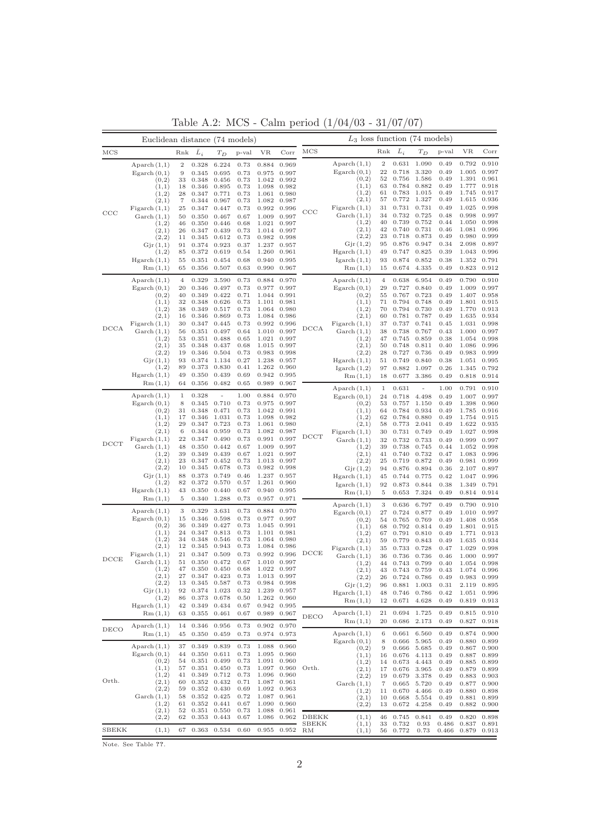|             | Euclidean distance (74 models)                                                                                         |                                              |                                                                               |                                                             |                                                              | $L_3$ loss function (74 models)                             |                                                                                  |                      |                                                                                                              |                                                 |                                                                               |                                                                               |                                                                      |                                                                                     |                                                                               |
|-------------|------------------------------------------------------------------------------------------------------------------------|----------------------------------------------|-------------------------------------------------------------------------------|-------------------------------------------------------------|--------------------------------------------------------------|-------------------------------------------------------------|----------------------------------------------------------------------------------|----------------------|--------------------------------------------------------------------------------------------------------------|-------------------------------------------------|-------------------------------------------------------------------------------|-------------------------------------------------------------------------------|----------------------------------------------------------------------|-------------------------------------------------------------------------------------|-------------------------------------------------------------------------------|
| MCS         |                                                                                                                        | Rnk                                          | $\bar{L}_i$                                                                   | $T_D$                                                       | p-val                                                        | VR                                                          | Corr                                                                             | MCS                  |                                                                                                              | Rnk                                             | $\bar{L}_i$                                                                   | $T_D$                                                                         | p-val                                                                | VR                                                                                  | Corr                                                                          |
|             | Aparch $(1,1)$<br>Egarch $(0,1)$<br>(0,2)<br>(1,1)<br>(1,2)                                                            | $\,2$<br>9<br>33<br>18<br>28                 | 0.328<br>0.345<br>0.348<br>0.346<br>0.347                                     | 6.224<br>0.695<br>0.456<br>0.895<br>0.771                   | 0.73<br>0.73<br>0.73<br>0.73<br>0.73                         | 0.884<br>0.975<br>1.042<br>1.098                            | 0.969<br>0.997<br>0.992<br>0.982<br>1.061 0.980                                  |                      | $\text{A} \text{parch} (1,1)$<br>$E$ garch $(0,1)$<br>(0,2)<br>(1,1)<br>(1,2)                                | $\,2$<br>22<br>52<br>63<br>61                   | 0.631<br>0.718<br>0.756<br>0.784<br>0.783                                     | 1.090<br>3.320<br>1.586<br>0.882<br>1.015                                     | 0.49<br>0.49<br>0.49<br>0.49<br>0.49                                 | 0.792<br>1.005<br>1.391<br>1.777<br>1.745                                           | 0.910<br>0.997<br>0.961<br>0.918<br>0.917                                     |
| CCC         | (2,1)<br>Figarch $(1,1)$<br>$\operatorname{Garch}(1,1)$<br>(1,2)<br>(2,1)                                              | 7<br>25<br>50<br>46<br>26                    | 0.344<br>0.347<br>0.350<br>0.350<br>0.347                                     | 0.967<br>0.447<br>0.467<br>0.446<br>0.439                   | 0.73<br>0.73<br>0.67<br>0.68<br>0.73                         | 1.082<br>0.992<br>1.009<br>1.021<br>1.014                   | 0.987<br>0.996<br>0.997<br>0.997<br>0.997                                        | $_{\rm CCC}$         | (2,1)<br>Figureh(1,1)<br>$\operatorname{Garch}(1,1)$<br>(1,2)<br>(2,1)                                       | 57<br>31<br>34<br>40<br>42                      | 0.772<br>0.731<br>0.732<br>0.739<br>0.740                                     | 1.327<br>0.731<br>0.725<br>0.752<br>0.731                                     | 0.49<br>0.49<br>0.48<br>0.44<br>0.46                                 | 1.615<br>1.025<br>0.998<br>1.050<br>1.081                                           | 0.936<br>0.998<br>0.997<br>0.998<br>0.996                                     |
|             | (2,2)<br>Gjr(1,1)<br>(1,2)<br>Hgarch(1,1)<br>Rm(1,1)                                                                   | 11<br>91<br>85<br>55<br>65                   | 0.345<br>0.374<br>0.372<br>0.351<br>0.356                                     | 0.612<br>0.923<br>0.619<br>0.454<br>0.507                   | 0.73<br>0.37<br>0.54<br>0.68<br>0.63                         | 0.982<br>1.237<br>1.260<br>0.940<br>0.990                   | 0.998<br>0.957<br>0.961<br>0.995<br>0.967                                        |                      | (2,2)<br>Gjr(1,2)<br>Hgarch(1,1)<br>I <sub>garch</sub> (1,1)<br>Rm(1,1)                                      | 23<br>95<br>49<br>93<br>15                      | 0.718<br>0.876<br>0.747<br>0.874<br>0.674                                     | 0.873<br>0.947<br>0.825<br>0.852<br>4.335                                     | 0.49<br>0.34<br>$_{0.39}$<br>0.38<br>0.49                            | 0.980<br>2.098<br>1.043<br>1.352<br>0.823                                           | 0.999<br>0.897<br>0.996<br>0.791<br>0.912                                     |
|             | Aparch $(1,1)$<br>Egarch $(0,1)$<br>(0,2)<br>(1,1)<br>(1,2)<br>(2,1)                                                   | $\overline{4}$<br>20<br>40<br>32<br>38<br>16 | 0.329<br>0.346<br>0.349<br>0.348<br>0.349<br>0.346                            | 3.590<br>0.497<br>0.422<br>0.626<br>0.517<br>0.869          | 0.73<br>0.73<br>0.71<br>0.73<br>0.73<br>0.73                 | 0.884<br>0.977<br>1.044<br>1.101<br>1.064<br>1.084          | 0.970<br>0.997<br>0.991<br>0.981<br>0.980<br>0.986                               |                      | $\text{A} \text{parch} (1,1)$<br>Egarch $(0,1)$<br>(0,2)<br>(1,1)<br>(1,2)<br>(2,1)                          | $\overline{4}$<br>29<br>55<br>71<br>70<br>60    | 0.638<br>0.727<br>0.767<br>0.794<br>0.794<br>0.781                            | 6.954<br>0.840<br>0.723<br>0.748<br>0.730<br>0.787                            | 0.49<br>0.49<br>0.49<br>0.49<br>0.49<br>0.49                         | 0.790<br>1.009<br>1.407<br>1.801<br>1.770<br>1.635                                  | 0.910<br>0.997<br>0.958<br>0.915<br>0.913<br>0.934                            |
| <b>DCCA</b> | Figarch $(1,1)$<br>$\operatorname{Garch}(1,1)$<br>(1,2)<br>(2,1)<br>(2,2)<br>Gjr(1,1)<br>(1,2)                         | 30<br>56<br>53<br>35<br>19<br>93<br>89       | 0.347<br>0.351<br>0.351<br>0.348<br>0.346<br>0.374<br>0.373                   | 0.445<br>0.497<br>0.488<br>0.437<br>0.504<br>1.134<br>0.830 | 0.73<br>0.64<br>0.65<br>0.68<br>0.73<br>0.27<br>0.41         | 0.992<br>1.010<br>1.021<br>1.015<br>0.983<br>1.238<br>1.262 | 0.996<br>0.997<br>0.997<br>0.997<br>0.998<br>0.957<br>0.960                      | $_{\text{DCCA}}$     | Figureh(1,1)<br>$\operatorname{Garch}(1,1)$<br>(1,2)<br>(2,1)<br>(2,2)<br>Hgarch(1,1)<br>Igarch $(1,2)$      | 37<br>38<br>47<br>50<br>28<br>51<br>97          | 0.737<br>0.738<br>0.745<br>0.748<br>0.727<br>0.749<br>0.882                   | 0.741<br>0.767<br>0.859<br>0.811<br>0.736<br>0.840<br>1.097                   | 0.45<br>0.43<br>0.38<br>0.40<br>0.49<br>0.38<br>0.26                 | 1.031<br>1.000<br>1.054<br>1.086<br>0.983<br>1.051<br>1.345                         | 0.998<br>0.997<br>0.998<br>0.996<br>0.999<br>0.995<br>0.792                   |
|             | Hgarch(1,1)<br>Rm(1,1)                                                                                                 | 49<br>64                                     | 0.350<br>0.356                                                                | 0.439<br>0.482                                              | 0.69<br>0.65                                                 | 0.942<br>0.989                                              | 0.995<br>0.967                                                                   |                      | Rm(1,1)<br>$\text{A} \text{parch} (1,1)$                                                                     | 18<br>1                                         | 0.677<br>0.631                                                                | 3.386<br>L,                                                                   | 0.49<br>1.00                                                         | 0.818<br>0.791                                                                      | 0.914<br>0.910                                                                |
|             | Aparch $(1,1)$<br>Egarch $(0,1)$<br>(0,2)<br>(1,1)<br>(1,2)<br>(2,1)                                                   | 1<br>8<br>31<br>17<br>29<br>6                | 0.328<br>0.345<br>0.348<br>0.346<br>0.347<br>0.344                            | 0.710<br>0.471<br>1.031<br>0.723<br>0.959                   | 1.00<br>0.73<br>0.73<br>0.73<br>0.73<br>0.73                 | 0.884<br>0.975<br>1.042<br>1.098<br>1.061<br>1.082          | 0.970<br>0.997<br>0.991<br>0.982<br>0.980<br>0.987                               |                      | Egarch $(0,1)$<br>(0,2)<br>(1,1)<br>(1,2)<br>(2,1)<br>Figureh(1,1)                                           | 24<br>53<br>64<br>62<br>58<br>30                | 0.718<br>0.757<br>0.784<br>0.784<br>0.773<br>0.731                            | 4.498<br>1.150<br>0.934<br>0.880<br>2.041<br>0.749                            | 0.49<br>0.49<br>0.49<br>0.49<br>0.49<br>0.49                         | 1.007<br>1.398<br>1.785<br>1.754<br>1.622<br>1.027                                  | 0.997<br>0.960<br>0.916<br>0.915<br>0.935<br>0.998                            |
| <b>DCCT</b> | Figarch $(1,1)$<br>$\operatorname{Garch}(1,1)$<br>(1,2)<br>(2,1)<br>(2,2)<br>Gjr(1,1)                                  | 22<br>48<br>39<br>23<br>10<br>88             | 0.347<br>0.350<br>0.349<br>0.347<br>0.345<br>0.373                            | 0.490<br>0.442<br>0.439<br>0.452<br>0.678<br>0.749          | 0.73<br>0.67<br>0.67<br>0.73<br>0.73<br>0.46                 | 0.991<br>1.009<br>1.021<br>1.013<br>0.982<br>1.237          | 0.997<br>0.997<br>0.997<br>0.997<br>0.998<br>0.957                               | DCCT                 | $\operatorname{Garch}(1,1)$<br>(1,2)<br>(2,1)<br>(2,2)<br>Gjr(1,2)<br>Hgarch(1,1)                            | 32<br>39<br>41<br>25<br>94<br>45                | 0.732<br>0.738<br>0.740<br>0.719<br>0.876<br>0.744                            | 0.733<br>0.745<br>0.732<br>0.872<br>0.894<br>0.775                            | 0.49<br>0.44<br>0.47<br>0.49<br>0.36<br>0.42                         | 0.999<br>1.052<br>1.083<br>0.981<br>2.107<br>1.047                                  | 0.997<br>0.998<br>0.996<br>0.999<br>0.897<br>0.996                            |
|             | (1,2)<br>Hgarch(1,1)                                                                                                   | 82<br>43                                     | 0.372<br>0.350                                                                | 0.570<br>0.440                                              | 0.57<br>0.67                                                 | 1.261<br>0.940                                              | 0.960<br>0.995                                                                   |                      | I <sub>garch</sub> (1,1)<br>Rm(1,1)                                                                          | 92<br>5                                         | 0.873<br>0.653                                                                | 0.844<br>7.324                                                                | 0.38<br>0.49                                                         | 1.349<br>0.814                                                                      | 0.791<br>0.914                                                                |
|             | Rm(1,1)<br>Aparch $(1,1)$<br>Egarch $(0,1)$<br>(0,2)<br>(1,1)<br>(1,2)                                                 | 5<br>3<br>15<br>36<br>24<br>34               | 0.340<br>0.329<br>0.346<br>0.349<br>0.347<br>0.348                            | 1.288<br>3.631<br>0.598<br>0.427<br>0.813<br>0.546          | 0.73<br>0.73<br>0.73<br>0.73<br>0.73<br>0.73                 | 0.957<br>0.884<br>0.977<br>1.045<br>1.101<br>1.064          | 0.971<br>0.970<br>0.997<br>0.991<br>0.981<br>0.980                               |                      | $\text{A} \text{parch} (1,1)$<br>Egarch $(0,1)$<br>(0,2)<br>(1,1)<br>(1,2)<br>(2,1)                          | 3<br>27<br>54<br>68<br>67<br>59                 | 0.636<br>0.724<br>0.765<br>0.792<br>0.791<br>0.779                            | 6.797<br>0.877<br>0.769<br>0.814<br>0.810<br>0.843                            | 0.49<br>0.49<br>0.49<br>0.49<br>0.49<br>0.49                         | 0.790<br>1.010<br>1.408<br>1.801<br>1.771<br>1.635                                  | 0.910<br>0.997<br>0.958<br>0.915<br>0.913<br>0.934                            |
| DCCE        | (2,1)<br>Figureh(1,1)<br>$\operatorname{Garch}(1,1)$<br>(1,2)<br>(2,1)<br>(2,2)<br>Gjr(1,1)<br>(1,2)                   | 12<br>21<br>51<br>47<br>$^{27}$<br>92<br>86  | 0.345<br>0.347<br>0.350<br>0.350<br>0.347<br>13 0.345 0.587<br>0.374<br>0.373 | 0.943<br>0.509<br>0.472<br>0.450<br>0.423<br>1.023<br>0.678 | 0.73<br>0.73<br>0.67<br>0.68<br>0.73<br>0.73<br>0.32<br>0.50 | 1.084<br>1.022 0.997<br>1.013 0.997<br>0.984 0.998          | 0.986<br>0.992 0.996<br>1.010 0.997<br>1.239 0.957<br>1.262 0.960                | DCCE                 | Figureh(1,1)<br>$\operatorname{Garch}(1,1)$<br>(1,2)<br>(2,1)<br>(2,2)<br>Gjr(1,2)<br>Hgarch(1,1)            | 35<br>36<br>44<br>43<br>26<br>96<br>48          | 0.733<br>0.736<br>0.743<br>0.743<br>0.746                                     | 0.728<br>0.736<br>0.799<br>0.759<br>0.724 0.786<br>0.881 1.003<br>0.786       | 0.47<br>0.46<br>0.40<br>0.43<br>0.49<br>0.31<br>0.42                 | 1.029<br>1.000<br>1.054<br>1.074 0.996<br>0.983 0.999<br>2.119 0.895<br>1.051 0.996 | 0.998<br>0.997<br>0.998                                                       |
|             | Hgarch(1,1)<br>Rm(1,1)                                                                                                 | 42<br>63                                     | 0.349<br>0.355                                                                | 0.434<br>0.461                                              | 0.67<br>0.67                                                 | 0.989                                                       | 0.942 0.995<br>0.967                                                             | DECO                 | Rm(1,1)<br>$\text{A} \text{parch} (1,1)$                                                                     | 12<br>21                                        | 0.671                                                                         | 4.628<br>0.694 1.725                                                          | 0.49<br>0.49                                                         | 0.819<br>0.815                                                                      | 0.913<br>0.910                                                                |
| DECO        | Aparch $(1,1)$<br>Rm(1,1)                                                                                              | 14<br>45                                     | 0.346<br>$0.350$ $0.459$                                                      | 0.956                                                       | 0.73<br>0.73                                                 | 0.902<br>0.974                                              | 0.970<br>0.973                                                                   |                      | Rm(1,1)<br>$\text{Aparch}\left(1,1\right)$                                                                   | 20<br>6                                         | 0.686<br>0.661                                                                | 2.173<br>6.560                                                                | 0.49<br>0.49                                                         | 0.827<br>0.874                                                                      | 0.918<br>0.900                                                                |
| Orth.       | Aparch $(1,1)$<br>E <sub>g</sub> arch(0,1)<br>(0,2)<br>(1,1)<br>(1,2)<br>(2,1)<br>(2,2)<br>$\operatorname{Garch}(1,1)$ | 37<br>44<br>54<br>57<br>41<br>60<br>59<br>58 | 0.349<br>0.350<br>0.351<br>0.351<br>0.349<br>0.352<br>0.352<br>0.352 0.425    | 0.839<br>0.611<br>0.499<br>0.450<br>0.712<br>0.432<br>0.430 | 0.73<br>0.73<br>0.73<br>0.73<br>0.73<br>0.71<br>0.69<br>0.72 | 1.088<br>1.095<br>1.091<br>1.087<br>1.092<br>1.087          | 0.960<br>0.960<br>0.960<br>1.097 0.960<br>1.096 0.960<br>0.961<br>0.963<br>0.961 | Orth.                | Egarch $(0,1)$<br>(0,2)<br>(1,1)<br>(1,2)<br>(2,1)<br>(2,2)<br>$\operatorname{Garch}(1,1)$<br>(1,2)<br>(2,1) | 8<br>9<br>16<br>14<br>17<br>19<br>7<br>11<br>10 | 0.666<br>0.666<br>0.676<br>0.673<br>0.676<br>0.679<br>0.665<br>0.670<br>0.668 | 5.965<br>5.685<br>4.113<br>4.443<br>3.965<br>3.378<br>5.720<br>4.466<br>5.554 | 0.49<br>0.49<br>0.49<br>0.49<br>0.49<br>0.49<br>0.49<br>0.49<br>0.49 | 0.880<br>0.867<br>0.887<br>0.885<br>0.879<br>0.883<br>0.877<br>0.880<br>0.881       | 0.899<br>0.900<br>0.899<br>0.899<br>0.899<br>0.903<br>0.900<br>0.898<br>0.899 |
| SBEKK       | (1,2)<br>(2,1)<br>(2,2)<br>(1,1)                                                                                       | 61<br>52<br>62<br>67                         | 0.352<br>0.351<br>0.353<br>0.363                                              | 0.441<br>0.550<br>0.443<br>0.534                            | 0.67<br>0.73<br>0.67<br>0.60                                 | 1.090<br>1.088<br>1.086<br>0.955                            | 0.960<br>0.961<br>0.962<br>0.952                                                 | DBEKK<br>SBEKK<br>RM | (2,2)<br>(1,1)<br>(1,1)<br>(1,1)                                                                             | 13<br>46<br>33<br>56                            | 0.672<br>0.745<br>0.732<br>0.772                                              | 4.258<br>0.841<br>0.93<br>0.73                                                | 0.49<br>0.49<br>0.486<br>0.466                                       | 0.882<br>0.820<br>0.837<br>0.879                                                    | 0.900<br>0.898<br>0.891<br>0.913                                              |

Table A.2: MCS - Calm period (1/04/03 - 31/07/07)

Note. See Table ??.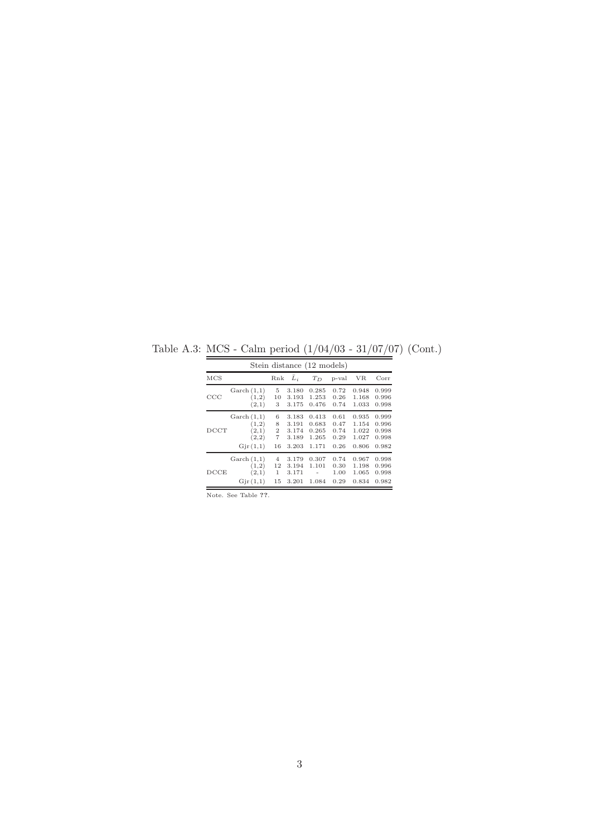|                   |                                                                    |                                                |                                           | Stein distance (12 models)                |                                      |                                           |                                           |
|-------------------|--------------------------------------------------------------------|------------------------------------------------|-------------------------------------------|-------------------------------------------|--------------------------------------|-------------------------------------------|-------------------------------------------|
| $_{\rm MCS}$      |                                                                    | Rnk                                            | $\bar{L}_i$                               | $T_D$                                     | p-val                                | VR.                                       | Corr                                      |
| CCC               | $\operatorname{Garch}(1,1)$<br>(1,2)<br>(2,1)                      | 5<br>10<br>3                                   | 3.180<br>3.193<br>3.175                   | 0.285<br>1.253<br>0.476                   | 0.72<br>0.26<br>0.74                 | 0.948<br>1.168<br>1.033                   | 0.999<br>0.996<br>0.998                   |
| $_{\mathrm{DCT}}$ | $\operatorname{Garch}(1,1)$<br>(1,2)<br>(2,1)<br>(2,2)<br>Gjr(1,1) | 6<br>8<br>$\mathbf{2}$<br>$\overline{7}$<br>16 | 3.183<br>3.191<br>3.174<br>3.189<br>3.203 | 0.413<br>0.683<br>0.265<br>1.265<br>1.171 | 0.61<br>0.47<br>0.74<br>0.29<br>0.26 | 0.935<br>1.154<br>1.022<br>1.027<br>0.806 | 0.999<br>0.996<br>0.998<br>0.998<br>0.982 |
| DCCE              | $\operatorname{Garch}(1,1)$<br>(1,2)<br>(2,1)<br>Gjr(1,1)          | $\overline{4}$<br>12<br>1<br>15                | 3.179<br>3.194<br>3.171<br>3.201          | 0.307<br>1.101<br>1.084                   | 0.74<br>0.30<br>1.00<br>0.29         | 0.967<br>1.198<br>1.065<br>0.834          | 0.998<br>0.996<br>0.998<br>0.982          |

Table A.3: MCS - Calm period (1/04/03 - 31/07/07) (Cont.)

Note. See Table ??.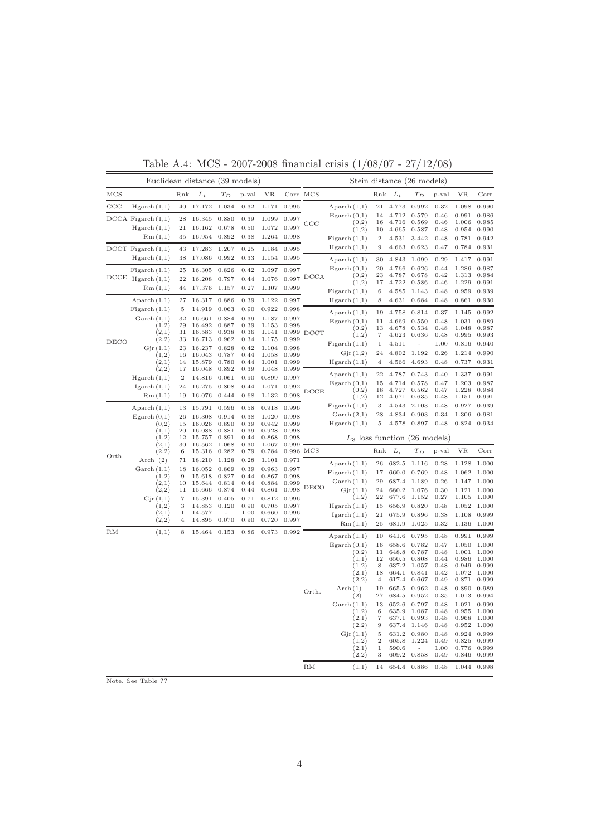|               | Euclidean distance (39 models)   |                |                  |                         |              |                | Stein distance (26 models) |              |                                 |                        |                |                |              |                |                |
|---------------|----------------------------------|----------------|------------------|-------------------------|--------------|----------------|----------------------------|--------------|---------------------------------|------------------------|----------------|----------------|--------------|----------------|----------------|
| MCS           |                                  | Rnk            | $\bar{L}_i$      | $T_D$                   | p-val        | <b>VR</b>      | Corr                       | MCS          |                                 | Rnk                    | $\bar{L}_i$    | $T_D$          | p-val        | <b>VR</b>      | Corr           |
| $_{\rm CCC}$  | Hgarch(1,1)                      | 40             | 17.172           | 1.034                   | 0.32         | 1.171          | 0.995                      |              | Aparch $(1,1)$                  | $\sqrt{21}$            | 4.773          | 0.992          | 0.32         | 1.098          | 0.990          |
|               | $DCCA$ Figarch $(1,1)$           | 28             | 16.345           | 0.880                   | 0.39         | 1.099          | 0.997                      |              | Egarch $(0,1)$<br>(0,2)         | 14<br>16               | 4.712<br>4.716 | 0.579<br>0.569 | 0.46<br>0.46 | 0.991<br>1.006 | 0.986<br>0.985 |
|               | Hgarch(1,1)                      | 21             | 16.162           | 0.678                   | 0.50         | 1.072          | 0.997                      | CCC          | (1,2)                           | 10                     | 4.665          | 0.587          | 0.48         | 0.954          | 0.990          |
|               | Rm(1,1)                          | 35             | 16.954           | 0.892                   | 0.38         | 1.264          | 0.998                      |              | Figureh(1,1)                    | $\boldsymbol{2}$       | 4.531          | 3.442          | 0.48         | 0.781          | 0.942          |
|               | $DCCT$ Figarch $(1,1)$           | 43             | 17.283           | 1.207                   | 0.25         | 1.184          | 0.995                      |              | Hgarch(1,1)                     | 9                      | 4.663          | 0.623          | 0.47         | 0.784          | 0.931          |
|               | Hgarch(1,1)                      | 38             | 17.086           | 0.992                   | 0.33         | 1.154          | 0.995                      |              | Aparch $(1,1)$                  | 30                     | 4.843          | 1.099          | 0.29         | 1.417          | 0.991          |
|               | Figureh(1,1)                     | 25             | 16.305           | 0.826                   | 0.42         | 1.097          | 0.997                      |              | Egarch $(0,1)$                  | 20                     | 4.766          | 0.626          | 0.44         | 1.286          | 0.987          |
| $_{\rm DCCE}$ | Hgarch(1,1)                      | 22             | 16.208           | 0.797                   | 0.44         | 1.076          |                            | $0.997$ DCCA | (0,2)<br>(1,2)                  | 23<br>17               | 4.787<br>4.722 | 0.678<br>0.586 | 0.42<br>0.46 | 1.313<br>1.229 | 0.984<br>0.991 |
|               | Rm(1,1)                          | 44             | 17.376           | 1.157                   | 0.27         | 1.307          | 0.999                      |              | Figureh(1,1)                    | 6                      | 4.585          | 1.143          | 0.48         | 0.959          | 0.939          |
|               | Aparch $(1,1)$                   | 27             | 16.317           | 0.886                   | 0.39         | 1.122          | 0.997                      |              | Hgarch(1,1)                     | 8                      | 4.631          | 0.684          | 0.48         | 0.861          | 0.930          |
|               | Figureh(1,1)                     | 5              | 14.919           | 0.063                   | 0.90         | 0.922          | 0.998                      |              | Aparch $(1,1)$                  | 19                     | 4.758          | 0.814          | 0.37         | 1.145          | 0.992          |
|               | $\operatorname{Garch}(1,1)$      | 32             | 16.661           | 0.884                   | 0.39         | 1.187          | 0.997                      |              | Egarch $(0,1)$                  | 11                     | 4.669          | 0.550          | 0.48         | 1.031          | 0.989          |
|               | (1,2)<br>(2,1)                   | 29<br>31       | 16.492<br>16.583 | 0.887<br>0.938          | 0.39<br>0.36 | 1.153<br>1.141 | 0.998                      | $0.999$ DCCT | (0,2)                           | 13                     | 4.678          | 0.534          | 0.48         | 1.048          | 0.987          |
| DECO          | (2,2)                            | 33             | 16.713           | 0.962                   | 0.34         | 1.175          | 0.999                      |              | (1,2)                           | 7                      | 4.623          | 0.636          | 0.48         | 0.995          | 0.993          |
|               | Gjr(1,1)                         | 23             | 16.237           | 0.828                   | 0.42         | 1.104          | 0.998                      |              | Figureh(1,1)                    | $\,1$                  | 4.511          | L,             | 1.00         | 0.816          | 0.940          |
|               | (1,2)                            | 16             | 16.043           | 0.787                   | 0.44         | 1.058          | 0.999                      |              | Gjr(1,2)                        | 24                     | 4.802          | 1.192          | 0.26         | 1.214          | 0.990          |
|               | (2,1)<br>(2,2)                   | 14<br>17       | 15.879<br>16.048 | 0.780<br>0.892          | 0.44<br>0.39 | 1.001<br>1.048 | 0.999<br>0.999             |              | Hgarch(1,1)                     | $\overline{4}$         | 4.566          | 4.693          | 0.48         | 0.737          | 0.931          |
|               | Hgarch(1,1)                      | $\overline{2}$ | 14.816           | 0.061                   | 0.90         | 0.899          | 0.997                      |              | Aparch $(1,1)$                  | $\bf{22}$              | 4.787          | 0.743          | 0.40         | 1.337          | 0.991          |
|               | Igarch $(1,1)$                   | 24             | 16.275           | 0.808                   | 0.44         | 1.071          | 0.992                      |              | Egarch $(0,1)$                  | 15                     | 4.714          | 0.578          | 0.47         | 1.203          | 0.987          |
|               | Rm(1,1)                          | 19             | 16.076           | 0.444                   | 0.68         | 1.132          | 0.998                      | DCCE         | (0,2)<br>(1,2)                  | 18<br>12               | 4.727<br>4.671 | 0.562<br>0.635 | 0.47<br>0.48 | 1.228<br>1.151 | 0.984<br>0.991 |
|               |                                  |                |                  |                         |              |                |                            |              | Figureh(1,1)                    | 3                      | 4.543          | 2.103          | 0.48         | 0.927          | 0.939          |
|               | Aparch $(1,1)$<br>Egarch $(0,1)$ | 13<br>26       | 15.791<br>16.308 | 0.596<br>0.914          | 0.58<br>0.38 | 0.918<br>1.020 | 0.996<br>0.998             |              | $\operatorname{Garch}(2,1)$     | 28                     | 4.834          | 0.903          | 0.34         | 1.306          | 0.981          |
|               | (0,2)                            | 15             | 16.026           | 0.890                   | 0.39         | 0.942          | 0.999                      |              | Hgarch(1,1)                     | $\rm 5$                | 4.578          | 0.897          | 0.48         | 0.824          | 0.934          |
|               | (1,1)                            | 20             | 16.088           | 0.881                   | 0.39         | 0.928          | 0.998                      |              |                                 |                        |                |                |              |                |                |
|               | (1,2)<br>(2,1)                   | 12<br>30       | 15.757<br>16.562 | 0.891<br>1.068          | 0.44<br>0.30 | 0.868<br>1.067 | 0.998<br>0.999             |              | $L_3$ loss function (26 models) |                        |                |                |              |                |                |
|               | (2,2)                            | 6              | 15.316           | 0.282                   | 0.79         | 0.784          | 0.996 MCS                  |              |                                 | Rnk                    | $\bar{L}_i$    | $T_D$          | p-val        | <b>VR</b>      | Corr           |
| Orth.         | Arch $(2)$                       | 71             | 18.210           | 1.128                   | 0.28         | 1.101          | 0.971                      |              | Aparch $(1,1)$                  | 26                     | 682.5          | 1.116          | 0.28         | 1.128          | 1.000          |
|               | Garch $(1,1)$                    | 18             | 16.052           | 0.869                   | 0.39         | 0.963          | 0.997                      |              | Figarch $(1,1)$                 | 17                     | 660.0          | 0.769          | 0.48         | 1.062          | 1.000          |
|               | (1,2)                            | 9              | 15.618           | 0.827<br>0.814          | 0.44         | 0.867<br>0.884 | 0.998                      |              | $\operatorname{Garch}(1,1)$     | 29                     | 687.4          | 1.189          | 0.26         | 1.147          | 1.000          |
|               | (2,1)<br>(2,2)                   | 10<br>11       | 15.644<br>15.666 | 0.874                   | 0.44<br>0.44 | 0.861          | 0.999<br>0.998             | DECO         | Gjr(1,1)                        | 24                     | 680.2          | 1.076          | 0.30         | 1.121          | 1.000          |
|               | Gjr(1,1)                         | $\overline{7}$ | 15.391           | 0.405                   | 0.71         | 0.812          | 0.996                      |              | (1,2)                           | 22                     | 677.6          | 1.152          | 0.27         | 1.105          | 1.000          |
|               | (1,2)                            | 3              | 14.853           | 0.120                   | 0.90         | 0.705          | 0.997                      |              | Hgarch(1,1)                     | 15                     | 656.9          | 0.820          | 0.48         | 1.052          | 1.000          |
|               | (2,1)<br>(2,2)                   | 1<br>4         | 14.577<br>14.895 | $\overline{a}$<br>0.070 | 1.00<br>0.90 | 0.660<br>0.720 | 0.996<br>0.997             |              | I <sub>g</sub> arch(1,1)        | 21                     | 675.9          | 0.896          | 0.38         | 1.108          | 0.999          |
|               |                                  |                |                  |                         |              |                |                            |              | Rm(1,1)                         | 25                     | 681.9          | 1.025          | 0.32         | 1.136          | 1.000          |
| RM            | (1,1)                            | 8              | 15.464           | 0.153                   | 0.86         | 0.973          | 0.992                      |              | Aparch $(1,1)$                  | 10                     | 641.6          | 0.795          | 0.48         | 0.991          | 0.999          |
|               |                                  |                |                  |                         |              |                |                            |              | $E$ garch $(0,1)$               | 16                     | 658.6          | 0.782          | 0.47         | 1.050          | 1.000          |
|               |                                  |                |                  |                         |              |                |                            |              | (0,2)<br>(1,1)                  | 11<br>12               | 648.8<br>650.5 | 0.787<br>0.808 | 0.48<br>0.44 | 1.001<br>0.986 | 1.000<br>1.000 |
|               |                                  |                |                  |                         |              |                |                            |              | (1,2)                           | 8                      | 637.2          | 1.057          | 0.48         | 0.949          | 0.999          |
|               |                                  |                |                  |                         |              |                |                            |              | (2,1)                           | 18                     | 664.1          | 0.841          | 0.42         | 1.072          | 1.000          |
|               |                                  |                |                  |                         |              |                |                            |              | (2,2)                           | $\overline{4}$         | 617.4          | 0.667          | 0.49         | 0.871          | 0.999          |
|               |                                  |                |                  |                         |              |                |                            | Orth.        | $\text{Arch}(1)$<br>(2)         | 19<br>27               | 665.5<br>684.5 | 0.962<br>0.952 | 0.48<br>0.35 | 0.890<br>1.013 | 0.989<br>0.994 |
|               |                                  |                |                  |                         |              |                |                            |              | $\operatorname{Garch}(1,1)$     | 13                     | 652.6          | 0.797          | 0.48         | 1.021          | 0.999          |
|               |                                  |                |                  |                         |              |                |                            |              | (1,2)                           | 6                      | 635.9          | 1.087          | 0.48         | 0.955          | 1.000          |
|               |                                  |                |                  |                         |              |                |                            |              | (2,1)<br>(2,2)                  | $\scriptstyle{7}$<br>9 | 637.1<br>637.4 | 0.993<br>1.146 | 0.48<br>0.48 | 0.968<br>0.952 | 1.000<br>1.000 |
|               |                                  |                |                  |                         |              |                |                            |              | Gjr(1,1)                        | $\mathbf 5$            | 631.2          | 0.980          | 0.48         | 0.924          | 0.999          |
|               |                                  |                |                  |                         |              |                |                            |              | (1,2)                           | $\boldsymbol{2}$       | 605.8          | 1.224          | 0.49         | 0.825          | 0.999          |
|               |                                  |                |                  |                         |              |                |                            |              | (2,1)                           | $\,1$                  | 590.6          |                | 1.00         | 0.776          | 0.999          |
|               |                                  |                |                  |                         |              |                |                            |              | (2,2)                           | 3                      | 609.2          | 0.858          | 0.49         | 0.846          | 0.999          |
|               |                                  |                |                  |                         |              |                |                            | RM           | (1,1)                           | 14                     | 654.4          | 0.886          | 0.48         | 1.044          | 0.998          |

Table A.4: MCS - 2007-2008 financial crisis (1/08/07 - 27/12/08)

Note. See Table ??